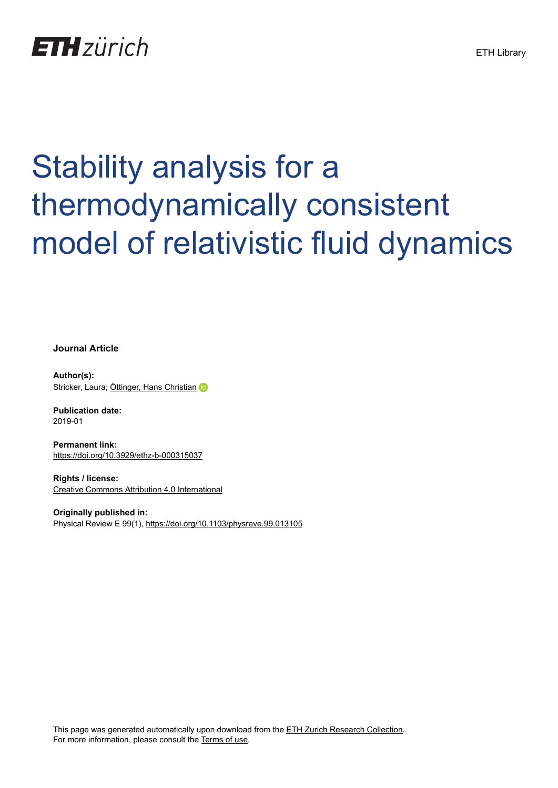

# Stability analysis for a thermodynamically consistent model of relativistic fluid dynamics

**Journal Article**

**Author(s):** Stricker, Laura; [Öttinger, Hans Christian](https://orcid.org/0000-0003-0096-3176) (D

**Publication date:** 2019-01

**Permanent link:** <https://doi.org/10.3929/ethz-b-000315037>

**Rights / license:** [Creative Commons Attribution 4.0 International](http://creativecommons.org/licenses/by/4.0/)

**Originally published in:** Physical Review E 99(1), <https://doi.org/10.1103/physreve.99.013105>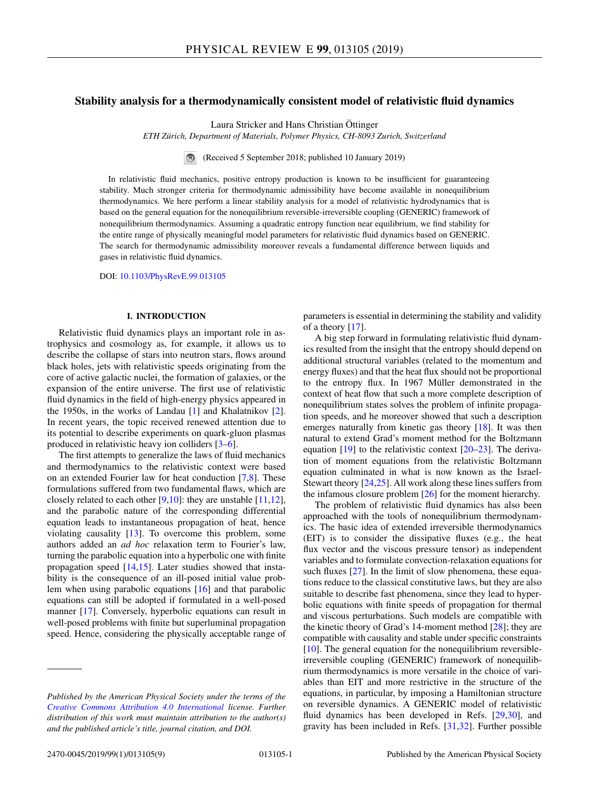# **Stability analysis for a thermodynamically consistent model of relativistic fluid dynamics**

Laura Stricker and Hans Christian Öttinger

*ETH Zürich, Department of Materials, Polymer Physics, CH-8093 Zurich, Switzerland*

(Received 5 September 2018; published 10 January 2019)

In relativistic fluid mechanics, positive entropy production is known to be insufficient for guaranteeing stability. Much stronger criteria for thermodynamic admissibility have become available in nonequilibrium thermodynamics. We here perform a linear stability analysis for a model of relativistic hydrodynamics that is based on the general equation for the nonequilibrium reversible-irreversible coupling (GENERIC) framework of nonequilibrium thermodynamics. Assuming a quadratic entropy function near equilibrium, we find stability for the entire range of physically meaningful model parameters for relativistic fluid dynamics based on GENERIC. The search for thermodynamic admissibility moreover reveals a fundamental difference between liquids and gases in relativistic fluid dynamics.

DOI: [10.1103/PhysRevE.99.013105](https://doi.org/10.1103/PhysRevE.99.013105)

# **I. INTRODUCTION**

Relativistic fluid dynamics plays an important role in astrophysics and cosmology as, for example, it allows us to describe the collapse of stars into neutron stars, flows around black holes, jets with relativistic speeds originating from the core of active galactic nuclei, the formation of galaxies, or the expansion of the entire universe. The first use of relativistic fluid dynamics in the field of high-energy physics appeared in the 1950s, in the works of Landau [\[1\]](#page-8-0) and Khalatnikov [\[2\]](#page-8-0). In recent years, the topic received renewed attention due to its potential to describe experiments on quark-gluon plasmas produced in relativistic heavy ion colliders [\[3–](#page-8-0)[6\]](#page-9-0).

The first attempts to generalize the laws of fluid mechanics and thermodynamics to the relativistic context were based on an extended Fourier law for heat conduction [\[7,8\]](#page-9-0). These formulations suffered from two fundamental flaws, which are closely related to each other  $[9,10]$ : they are unstable  $[11,12]$ , and the parabolic nature of the corresponding differential equation leads to instantaneous propagation of heat, hence violating causality [\[13\]](#page-9-0). To overcome this problem, some authors added an *ad hoc* relaxation term to Fourier's law, turning the parabolic equation into a hyperbolic one with finite propagation speed  $[14,15]$ . Later studies showed that instability is the consequence of an ill-posed initial value problem when using parabolic equations [\[16\]](#page-9-0) and that parabolic equations can still be adopted if formulated in a well-posed manner [\[17\]](#page-9-0). Conversely, hyperbolic equations can result in well-posed problems with finite but superluminal propagation speed. Hence, considering the physically acceptable range of parameters is essential in determining the stability and validity of a theory [\[17\]](#page-9-0).

A big step forward in formulating relativistic fluid dynamics resulted from the insight that the entropy should depend on additional structural variables (related to the momentum and energy fluxes) and that the heat flux should not be proportional to the entropy flux. In 1967 Müller demonstrated in the context of heat flow that such a more complete description of nonequilibrium states solves the problem of infinite propagation speeds, and he moreover showed that such a description emerges naturally from kinetic gas theory [\[18\]](#page-9-0). It was then natural to extend Grad's moment method for the Boltzmann equation  $[19]$  to the relativistic context  $[20-23]$ . The derivation of moment equations from the relativistic Boltzmann equation culminated in what is now known as the Israel-Stewart theory [\[24,25\]](#page-9-0). All work along these lines suffers from the infamous closure problem [\[26\]](#page-9-0) for the moment hierarchy.

The problem of relativistic fluid dynamics has also been approached with the tools of nonequilibrium thermodynamics. The basic idea of extended irreversible thermodynamics (EIT) is to consider the dissipative fluxes (e.g., the heat flux vector and the viscous pressure tensor) as independent variables and to formulate convection-relaxation equations for such fluxes [\[27\]](#page-9-0). In the limit of slow phenomena, these equations reduce to the classical constitutive laws, but they are also suitable to describe fast phenomena, since they lead to hyperbolic equations with finite speeds of propagation for thermal and viscous perturbations. Such models are compatible with the kinetic theory of Grad's 14-moment method [\[28\]](#page-9-0); they are compatible with causality and stable under specific constraints  $[10]$ . The general equation for the nonequilibrium reversibleirreversible coupling (GENERIC) framework of nonequilibrium thermodynamics is more versatile in the choice of variables than EIT and more restrictive in the structure of the equations, in particular, by imposing a Hamiltonian structure on reversible dynamics. A GENERIC model of relativistic fluid dynamics has been developed in Refs. [\[29,30\]](#page-9-0), and gravity has been included in Refs. [\[31,32\]](#page-9-0). Further possible

*Published by the American Physical Society under the terms of the [Creative Commons Attribution 4.0 International](https://creativecommons.org/licenses/by/4.0/) license. Further distribution of this work must maintain attribution to the author(s) and the published article's title, journal citation, and DOI.*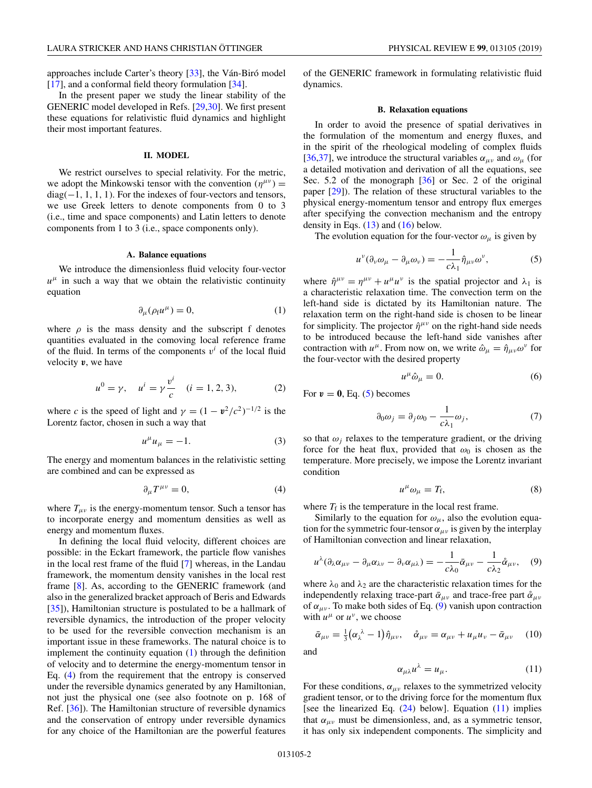<span id="page-2-0"></span>approaches include Carter's theory [\[33\]](#page-9-0), the Ván-Biró model [\[17\]](#page-9-0), and a conformal field theory formulation [\[34\]](#page-9-0).

In the present paper we study the linear stability of the GENERIC model developed in Refs. [\[29,30\]](#page-9-0). We first present these equations for relativistic fluid dynamics and highlight their most important features.

# **II. MODEL**

We restrict ourselves to special relativity. For the metric, we adopt the Minkowski tensor with the convention  $(\eta^{\mu\nu}) =$ diag(−1*,* 1*,* 1*,* 1). For the indexes of four-vectors and tensors, we use Greek letters to denote components from 0 to 3 (i.e., time and space components) and Latin letters to denote components from 1 to 3 (i.e., space components only).

# **A. Balance equations**

We introduce the dimensionless fluid velocity four-vector  $u^{\mu}$  in such a way that we obtain the relativistic continuity equation

$$
\partial_{\mu}(\rho_{\rm f} u^{\mu}) = 0, \tag{1}
$$

where  $\rho$  is the mass density and the subscript f denotes quantities evaluated in the comoving local reference frame of the fluid. In terms of the components  $v^i$  of the local fluid velocity *v*, we have

$$
u^{0} = \gamma, \quad u^{i} = \gamma \frac{v^{i}}{c} \quad (i = 1, 2, 3), \tag{2}
$$

where *c* is the speed of light and  $\gamma = (1 - v^2/c^2)^{-1/2}$  is the Lorentz factor, chosen in such a way that

$$
u^{\mu}u_{\mu} = -1. \tag{3}
$$

The energy and momentum balances in the relativistic setting are combined and can be expressed as

$$
\partial_{\mu}T^{\mu\nu} = 0,\tag{4}
$$

where  $T_{\mu\nu}$  is the energy-momentum tensor. Such a tensor has to incorporate energy and momentum densities as well as energy and momentum fluxes.

In defining the local fluid velocity, different choices are possible: in the Eckart framework, the particle flow vanishes in the local rest frame of the fluid [\[7\]](#page-9-0) whereas, in the Landau framework, the momentum density vanishes in the local rest frame [\[8\]](#page-9-0). As, according to the GENERIC framework (and also in the generalized bracket approach of Beris and Edwards [\[35\]](#page-9-0)), Hamiltonian structure is postulated to be a hallmark of reversible dynamics, the introduction of the proper velocity to be used for the reversible convection mechanism is an important issue in these frameworks. The natural choice is to implement the continuity equation (1) through the definition of velocity and to determine the energy-momentum tensor in Eq. (4) from the requirement that the entropy is conserved under the reversible dynamics generated by any Hamiltonian, not just the physical one (see also footnote on p. 168 of Ref. [\[36\]](#page-9-0)). The Hamiltonian structure of reversible dynamics and the conservation of entropy under reversible dynamics for any choice of the Hamiltonian are the powerful features

of the GENERIC framework in formulating relativistic fluid dynamics.

## **B. Relaxation equations**

In order to avoid the presence of spatial derivatives in the formulation of the momentum and energy fluxes, and in the spirit of the rheological modeling of complex fluids [\[36,37\]](#page-9-0), we introduce the structural variables  $\alpha_{\mu\nu}$  and  $\omega_{\mu}$  (for a detailed motivation and derivation of all the equations, see Sec. 5.2 of the monograph [\[36\]](#page-9-0) or Sec. 2 of the original paper [\[29\]](#page-9-0)). The relation of these structural variables to the physical energy-momentum tensor and entropy flux emerges after specifying the convection mechanism and the entropy density in Eqs.  $(13)$  and  $(16)$  below.

The evolution equation for the four-vector  $\omega_{\mu}$  is given by

$$
u^{\nu}(\partial_{\nu}\omega_{\mu}-\partial_{\mu}\omega_{\nu})=-\frac{1}{c\lambda_1}\hat{\eta}_{\mu\nu}\omega^{\nu},\qquad(5)
$$

where  $\hat{\eta}^{\mu\nu} = \eta^{\mu\nu} + u^{\mu}u^{\nu}$  is the spatial projector and  $\lambda_1$  is a characteristic relaxation time. The convection term on the left-hand side is dictated by its Hamiltonian nature. The relaxation term on the right-hand side is chosen to be linear for simplicity. The projector  $\hat{\eta}^{\mu\nu}$  on the right-hand side needs to be introduced because the left-hand side vanishes after contraction with  $u^{\mu}$ . From now on, we write  $\hat{\omega}_{\mu} = \hat{\eta}_{\mu\nu} \omega^{\nu}$  for the four-vector with the desired property

$$
u^{\mu}\hat{\omega}_{\mu} = 0. \tag{6}
$$

For  $v = 0$ , Eq. (5) becomes

$$
\partial_0 \omega_j = \partial_j \omega_0 - \frac{1}{c\lambda_1} \omega_j,\tag{7}
$$

so that  $\omega_i$  relaxes to the temperature gradient, or the driving force for the heat flux, provided that  $\omega_0$  is chosen as the temperature. More precisely, we impose the Lorentz invariant condition

$$
u^{\mu} \omega_{\mu} = T_{\text{f}}, \tag{8}
$$

where  $T_f$  is the temperature in the local rest frame.

Similarly to the equation for  $\omega_{\mu}$ , also the evolution equation for the symmetric four-tensor  $\alpha_{\mu\nu}$  is given by the interplay of Hamiltonian convection and linear relaxation,

$$
u^{\lambda}(\partial_{\lambda}\alpha_{\mu\nu}-\partial_{\mu}\alpha_{\lambda\nu}-\partial_{\nu}\alpha_{\mu\lambda})=-\frac{1}{c\lambda_{0}}\bar{\alpha}_{\mu\nu}-\frac{1}{c\lambda_{2}}\mathring{\alpha}_{\mu\nu},\quad(9)
$$

where  $\lambda_0$  and  $\lambda_2$  are the characteristic relaxation times for the independently relaxing trace-part  $\bar{\alpha}_{\mu\nu}$  and trace-free part  $\dot{\alpha}_{\mu\nu}$ of  $\alpha_{\mu\nu}$ . To make both sides of Eq. (9) vanish upon contraction with  $u^{\mu}$  or  $u^{\nu}$ , we choose

$$
\bar{\alpha}_{\mu\nu} = \frac{1}{3} (\alpha_{\lambda}^{\ \lambda} - 1) \hat{\eta}_{\mu\nu}, \quad \hat{\alpha}_{\mu\nu} = \alpha_{\mu\nu} + u_{\mu} u_{\nu} - \bar{\alpha}_{\mu\nu} \quad (10)
$$

and

$$
\alpha_{\mu\lambda}u^{\lambda} = u_{\mu}.\tag{11}
$$

For these conditions,  $\alpha_{\mu\nu}$  relaxes to the symmetrized velocity gradient tensor, or to the driving force for the momentum flux [see the linearized Eq.  $(24)$  below]. Equation  $(11)$  implies that  $\alpha_{\mu\nu}$  must be dimensionless, and, as a symmetric tensor, it has only six independent components. The simplicity and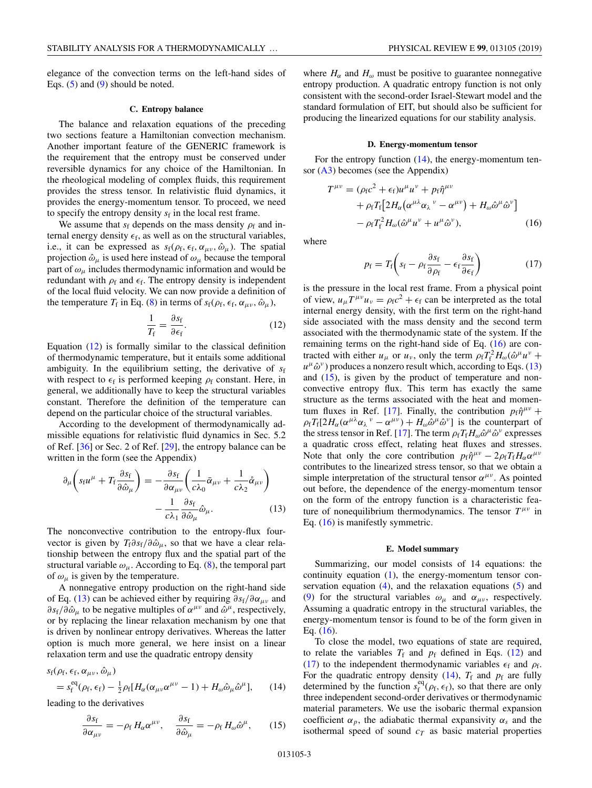<span id="page-3-0"></span>elegance of the convection terms on the left-hand sides of Eqs. [\(5\)](#page-2-0) and [\(9\)](#page-2-0) should be noted.

## **C. Entropy balance**

The balance and relaxation equations of the preceding two sections feature a Hamiltonian convection mechanism. Another important feature of the GENERIC framework is the requirement that the entropy must be conserved under reversible dynamics for any choice of the Hamiltonian. In the rheological modeling of complex fluids, this requirement provides the stress tensor. In relativistic fluid dynamics, it provides the energy-momentum tensor. To proceed, we need to specify the entropy density  $s_f$  in the local rest frame.

We assume that  $s_f$  depends on the mass density  $\rho_f$  and internal energy density  $\epsilon_f$ , as well as on the structural variables, i.e., it can be expressed as  $s_f(\rho_f, \epsilon_f, \alpha_{\mu\nu}, \hat{\omega}_{\mu})$ . The spatial projection  $\hat{\omega}_{\mu}$  is used here instead of  $\omega_{\mu}$  because the temporal part of  $\omega_{\mu}$  includes thermodynamic information and would be redundant with  $\rho_f$  and  $\epsilon_f$ . The entropy density is independent of the local fluid velocity. We can now provide a definition of the temperature  $T_f$  in Eq. [\(8\)](#page-2-0) in terms of  $s_f(\rho_f, \epsilon_f, \alpha_{\mu\nu}, \hat{\omega}_{\mu})$ ,

$$
\frac{1}{T_{\rm f}} = \frac{\partial s_{\rm f}}{\partial \epsilon_{\rm f}}.\tag{12}
$$

Equation  $(12)$  is formally similar to the classical definition of thermodynamic temperature, but it entails some additional ambiguity. In the equilibrium setting, the derivative of  $s_f$ with respect to  $\epsilon_f$  is performed keeping  $\rho_f$  constant. Here, in general, we additionally have to keep the structural variables constant. Therefore the definition of the temperature can depend on the particular choice of the structural variables.

According to the development of thermodynamically admissible equations for relativistic fluid dynamics in Sec. 5.2 of Ref. [\[36\]](#page-9-0) or Sec. 2 of Ref. [\[29\]](#page-9-0), the entropy balance can be written in the form (see the Appendix)

$$
\partial_{\mu} \left( s_{\rm f} u^{\mu} + T_{\rm f} \frac{\partial s_{\rm f}}{\partial \hat{\omega}_{\mu}} \right) = -\frac{\partial s_{\rm f}}{\partial \alpha_{\mu \nu}} \left( \frac{1}{c \lambda_0} \bar{\alpha}_{\mu \nu} + \frac{1}{c \lambda_2} \hat{\alpha}_{\mu \nu} \right) - \frac{1}{c \lambda_1} \frac{\partial s_{\rm f}}{\partial \hat{\omega}_{\mu}} \hat{\omega}_{\mu}.
$$
 (13)

The nonconvective contribution to the entropy-flux fourvector is given by  $T_f \partial s_f / \partial \hat{\omega}_\mu$ , so that we have a clear relationship between the entropy flux and the spatial part of the structural variable  $\omega_{\mu}$ . According to Eq. [\(8\)](#page-2-0), the temporal part of  $\omega_{\mu}$  is given by the temperature.

A nonnegative entropy production on the right-hand side of Eq. (13) can be achieved either by requiring *∂s*f*/∂αμν* and  $\partial s_f / \partial \hat{\omega}_\mu$  to be negative multiples of  $\alpha^{\mu\nu}$  and  $\hat{\omega}^\mu$ , respectively, or by replacing the linear relaxation mechanism by one that is driven by nonlinear entropy derivatives. Whereas the latter option is much more general, we here insist on a linear relaxation term and use the quadratic entropy density

$$
s_{\rm f}(\rho_{\rm f}, \epsilon_{\rm f}, \alpha_{\mu\nu}, \hat{\omega}_{\mu})
$$
  
=  $s_{\rm f}^{\rm eq}(\rho_{\rm f}, \epsilon_{\rm f}) - \frac{1}{2}\rho_{\rm f}[H_{\alpha}(\alpha_{\mu\nu}\alpha^{\mu\nu} - 1) + H_{\omega}\hat{\omega}_{\mu}\hat{\omega}^{\mu}],$  (14)

leading to the derivatives

$$
\frac{\partial s_{\rm f}}{\partial \alpha_{\mu\nu}} = -\rho_{\rm f} H_{\alpha} \alpha^{\mu\nu}, \quad \frac{\partial s_{\rm f}}{\partial \hat{\omega}_{\mu}} = -\rho_{\rm f} H_{\omega} \hat{\omega}^{\mu}, \qquad (15)
$$

where  $H_{\alpha}$  and  $H_{\omega}$  must be positive to guarantee nonnegative entropy production. A quadratic entropy function is not only consistent with the second-order Israel-Stewart model and the standard formulation of EIT, but should also be sufficient for producing the linearized equations for our stability analysis.

#### **D. Energy-momentum tensor**

For the entropy function (14), the energy-momentum tensor [\(A3\)](#page-8-0) becomes (see the Appendix)

$$
T^{\mu\nu} = (\rho_{\rm f}c^2 + \epsilon_{\rm f})u^{\mu}u^{\nu} + p_{\rm f}\hat{\eta}^{\mu\nu} + \rho_{\rm f}T_{\rm f}\left[2H_{\alpha}\left(\alpha^{\mu\lambda}\alpha_{\lambda}^{\ \nu} - \alpha^{\mu\nu}\right) + H_{\omega}\hat{\omega}^{\mu}\hat{\omega}^{\nu}\right] - \rho_{\rm f}T_{\rm f}^2H_{\omega}(\hat{\omega}^{\mu}u^{\nu} + u^{\mu}\hat{\omega}^{\nu}),
$$
(16)

where

$$
p_{\rm f} = T_{\rm f} \left( s_{\rm f} - \rho_{\rm f} \frac{\partial s_{\rm f}}{\partial \rho_{\rm f}} - \epsilon_{\rm f} \frac{\partial s_{\rm f}}{\partial \epsilon_{\rm f}} \right) \tag{17}
$$

is the pressure in the local rest frame. From a physical point of view,  $u_{\mu}T^{\mu\nu}u_{\nu} = \rho_f c^2 + \epsilon_f$  can be interpreted as the total internal energy density, with the first term on the right-hand side associated with the mass density and the second term associated with the thermodynamic state of the system. If the remaining terms on the right-hand side of Eq. (16) are contracted with either  $u_{\mu}$  or  $u_{\nu}$ , only the term  $\rho_f T_f^2 H_{\omega} (\hat{\omega}^{\mu} u^{\nu} +$  $u^{\mu} \hat{\omega}^{\nu}$ ) produces a nonzero result which, according to Eqs. (13) and (15), is given by the product of temperature and nonconvective entropy flux. This term has exactly the same structure as the terms associated with the heat and momen-tum fluxes in Ref. [\[17\]](#page-9-0). Finally, the contribution  $p_f \hat{\eta}^{\mu\nu}$  +  $\rho_f T_f[2H_\alpha(\alpha^{\mu\lambda}\alpha_\lambda^{\nu} - \alpha^{\mu\nu}) + H_\omega\hat{\omega}^{\mu}\hat{\omega}^{\nu}]$  is the counterpart of the stress tensor in Ref. [\[17\]](#page-9-0). The term  $\rho_f T_f H_\omega \hat{\omega}^\mu \hat{\omega}^\nu$  expresses a quadratic cross effect, relating heat fluxes and stresses. Note that only the core contribution  $p_f \hat{\eta}^{\mu\nu} - 2 \rho_f T_f H_\alpha \alpha^{\mu\nu}$ contributes to the linearized stress tensor, so that we obtain a simple interpretation of the structural tensor  $\alpha^{\mu\nu}$ . As pointed out before, the dependence of the energy-momentum tensor on the form of the entropy function is a characteristic feature of nonequilibrium thermodynamics. The tensor  $T^{\mu\nu}$  in Eq. (16) is manifestly symmetric.

#### **E. Model summary**

Summarizing, our model consists of 14 equations: the continuity equation  $(1)$ , the energy-momentum tensor conservation equation  $(4)$ , and the relaxation equations  $(5)$  and [\(9\)](#page-2-0) for the structural variables  $\omega_{\mu}$  and  $\alpha_{\mu\nu}$ , respectively. Assuming a quadratic entropy in the structural variables, the energy-momentum tensor is found to be of the form given in Eq. (16).

To close the model, two equations of state are required, to relate the variables  $T_f$  and  $p_f$  defined in Eqs. (12) and (17) to the independent thermodynamic variables  $\epsilon_f$  and  $\rho_f$ . For the quadratic entropy density  $(14)$ ,  $T_f$  and  $p_f$  are fully determined by the function  $s_f^{eq}(\rho_f, \epsilon_f)$ , so that there are only three independent second-order derivatives or thermodynamic material parameters. We use the isobaric thermal expansion coefficient  $\alpha_p$ , the adiabatic thermal expansivity  $\alpha_s$  and the isothermal speed of sound  $c<sub>T</sub>$  as basic material properties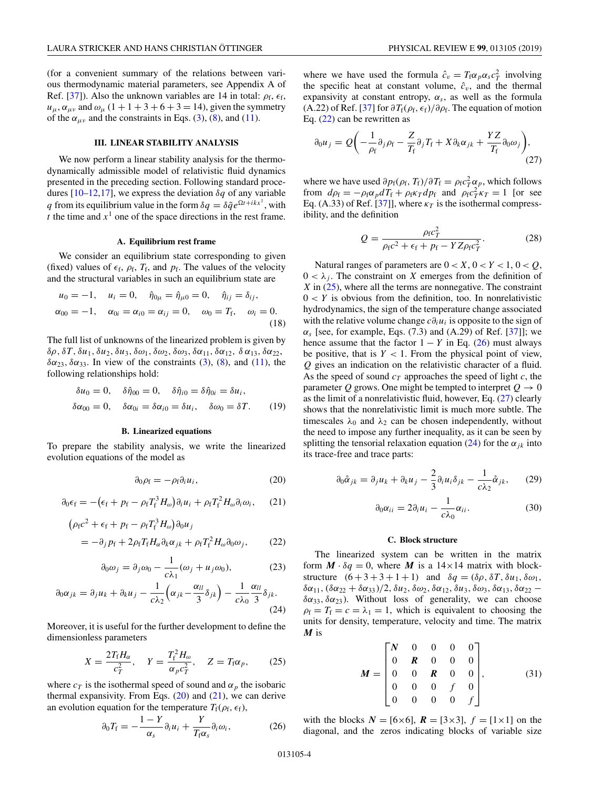<span id="page-4-0"></span>(for a convenient summary of the relations between various thermodynamic material parameters, see Appendix A of Ref. [\[37\]](#page-9-0)). Also the unknown variables are 14 in total:  $\rho_f$ ,  $\epsilon_f$ ,  $u_{\mu}$ ,  $\alpha_{\mu\nu}$  and  $\omega_{\mu}$  (1 + 1 + 3 + 6 + 3 = 14), given the symmetry of the  $\alpha_{\mu\nu}$  and the constraints in Eqs. [\(3\)](#page-2-0), [\(8\)](#page-2-0), and [\(11\)](#page-2-0).

# **III. LINEAR STABILITY ANALYSIS**

We now perform a linear stability analysis for the thermodynamically admissible model of relativistic fluid dynamics presented in the preceding section. Following standard procedures  $[10-12,17]$ , we express the deviation  $\delta q$  of any variable *q* from its equilibrium value in the form  $\delta q = \delta \tilde{q} e^{\Omega t + i kx^1}$ , with *t* the time and  $x<sup>1</sup>$  one of the space directions in the rest frame.

# **A. Equilibrium rest frame**

We consider an equilibrium state corresponding to given (fixed) values of  $\epsilon_f$ ,  $\rho_f$ ,  $T_f$ , and  $p_f$ . The values of the velocity and the structural variables in such an equilibrium state are

$$
u_0 = -1
$$
,  $u_i = 0$ ,  $\hat{\eta}_{0\mu} = \hat{\eta}_{\mu 0} = 0$ ,  $\hat{\eta}_{ij} = \delta_{ij}$ ,  
\n $\alpha_{00} = -1$ ,  $\alpha_{0i} = \alpha_{i0} = \alpha_{ij} = 0$ ,  $\omega_0 = T_f$ ,  $\omega_i = 0$ . (18)

The full list of unknowns of the linearized problem is given by *δρ,δT,δu*1*,δu*2*,δu*3*,δω*1*,δω*2*,δω*3*,δα*11*,δα*12*,δα*13*,δα*22,  $\delta\alpha_{23}$ ,  $\delta\alpha_{33}$ . In view of the constraints [\(3\)](#page-2-0), [\(8\)](#page-2-0), and [\(11\)](#page-2-0), the following relationships hold:

$$
\delta u_0 = 0, \quad \delta \hat{\eta}_{00} = 0, \quad \delta \hat{\eta}_{i0} = \delta \hat{\eta}_{0i} = \delta u_i,
$$

$$
\delta \alpha_{00} = 0, \quad \delta \alpha_{0i} = \delta \alpha_{i0} = \delta u_i, \quad \delta \omega_0 = \delta T. \tag{19}
$$

# **B. Linearized equations**

To prepare the stability analysis, we write the linearized evolution equations of the model as

$$
\partial_0 \rho_f = -\rho_f \partial_i u_i, \qquad (20)
$$

$$
\partial_0 \epsilon_f = -(\epsilon_f + p_f - \rho_f T_f^3 H_\omega) \partial_i u_i + \rho_f T_f^2 H_\omega \partial_i \omega_i, \quad (21)
$$

$$
\begin{aligned} \left(\rho_{\rm f}c^2 + \epsilon_{\rm f} + p_{\rm f} - \rho_{\rm f}T_{\rm f}^3 H_{\omega}\right)\partial_0 u_j \\ &= -\partial_j p_{\rm f} + 2\rho_{\rm f}T_{\rm f}H_{\alpha}\partial_k \alpha_{jk} + \rho_{\rm f}T_{\rm f}^2 H_{\omega}\partial_0 \omega_j, \end{aligned} \tag{22}
$$

$$
\partial_0 \omega_j = \partial_j \omega_0 - \frac{1}{c\lambda_1} (\omega_j + u_j \omega_0), \tag{23}
$$

$$
\partial_0 \alpha_{jk} = \partial_j u_k + \partial_k u_j - \frac{1}{c\lambda_2} \Big( \alpha_{jk} - \frac{\alpha_{ll}}{3} \delta_{jk} \Big) - \frac{1}{c\lambda_0} \frac{\alpha_{ll}}{3} \delta_{jk}.
$$
\n(24)

Moreover, it is useful for the further development to define the dimensionless parameters

$$
X = \frac{2T_f H_\alpha}{c_T^2}, \quad Y = \frac{T_f^2 H_\omega}{\alpha_p c_T^2}, \quad Z = T_f \alpha_p, \quad (25)
$$

where  $c_T$  is the isothermal speed of sound and  $\alpha_p$  the isobaric thermal expansivity. From Eqs.  $(20)$  and  $(21)$ , we can derive an evolution equation for the temperature  $T_f(\rho_f, \epsilon_f)$ ,

$$
\partial_0 T_{\rm f} = -\frac{1-Y}{\alpha_s} \partial_i u_i + \frac{Y}{T_{\rm f} \alpha_s} \partial_i \omega_i, \qquad (26)
$$

where we have used the formula  $\hat{c}_v = T_f \alpha_p \alpha_s c_T^2$  involving the specific heat at constant volume,  $\hat{c}_v$ , and the thermal expansivity at constant entropy,  $\alpha_s$ , as well as the formula (A.22) of Ref. [\[37\]](#page-9-0) for  $\partial T_f(\rho_f, \epsilon_f)/\partial \rho_f$ . The equation of motion Eq. (22) can be rewritten as

$$
\partial_0 u_j = Q \bigg( -\frac{1}{\rho_f} \partial_j \rho_f - \frac{Z}{T_f} \partial_j T_f + X \partial_k \alpha_{jk} + \frac{YZ}{T_f} \partial_0 \omega_j \bigg), \tag{27}
$$

where we have used  $\partial p_f(\rho_f, T_f)/\partial T_f = \rho_f c_T^2 \alpha_p$ , which follows from  $d\rho_f = -\rho_f \alpha_p dT_f + \rho_f \kappa_T dp_f$  and  $\rho_f c_T^2 \kappa_T = 1$  [or see Eq. (A.33) of Ref. [\[37\]](#page-9-0)], where  $\kappa_T$  is the isothermal compressibility, and the definition

$$
Q = \frac{\rho_{\rm f} c_T^2}{\rho_{\rm f} c^2 + \epsilon_{\rm f} + p_{\rm f} - Y Z \rho_{\rm f} c_T^2}.
$$
 (28)

Natural ranges of parameters are  $0 < X$ ,  $0 < Y < 1$ ,  $0 < Q$ ,  $0 < \lambda_j$ . The constraint on *X* emerges from the definition of *X* in (25), where all the terms are nonnegative. The constraint  $0 < Y$  is obvious from the definition, too. In nonrelativistic hydrodynamics, the sign of the temperature change associated with the relative volume change  $c\partial_i u_i$  is opposite to the sign of  $\alpha_s$  [see, for example, Eqs. (7.3) and (A.29) of Ref. [\[37\]](#page-9-0)]; we hence assume that the factor  $1 - Y$  in Eq. (26) must always be positive, that is  $Y < 1$ . From the physical point of view, *Q* gives an indication on the relativistic character of a fluid. As the speed of sound  $c_T$  approaches the speed of light  $c$ , the parameter *Q* grows. One might be tempted to interpret  $Q \rightarrow 0$ as the limit of a nonrelativistic fluid, however, Eq. (27) clearly shows that the nonrelativistic limit is much more subtle. The timescales  $\lambda_0$  and  $\lambda_2$  can be chosen independently, without the need to impose any further inequality, as it can be seen by splitting the tensorial relaxation equation (24) for the  $\alpha_{jk}$  into its trace-free and trace parts:

$$
\partial_0 \mathring{\alpha}_{jk} = \partial_j u_k + \partial_k u_j - \frac{2}{3} \partial_i u_i \delta_{jk} - \frac{1}{c \lambda_2} \mathring{\alpha}_{jk}, \qquad (29)
$$

$$
\partial_0 \alpha_{ii} = 2 \partial_i u_i - \frac{1}{c \lambda_0} \alpha_{ii}.
$$
 (30)

# **C. Block structure**

The linearized system can be written in the matrix form  $M \cdot \delta q = 0$ , where M is a 14×14 matrix with blockstructure  $(6+3+3+1+1)$  and  $\delta q = (\delta \rho, \delta T, \delta u_1, \delta \omega_1,$ *δα*<sub>11</sub>*,* (*δα*<sub>22</sub> + *δα*<sub>33</sub>)/2*,δu*<sub>2</sub>*,δω*<sub>2</sub>*,δα*<sub>12</sub>*,δu*<sub>3</sub>*,δω*<sub>3</sub>*,δα*<sub>13</sub>*,δα*<sub>22</sub> − *δα*33*,δα*<sup>23</sup> ). Without loss of generality, we can choose  $\rho_f = T_f = c = \lambda_1 = 1$ , which is equivalent to choosing the units for density, temperature, velocity and time. The matrix *M* is

$$
M = \begin{bmatrix} N & 0 & 0 & 0 & 0 \\ 0 & R & 0 & 0 & 0 \\ 0 & 0 & R & 0 & 0 \\ 0 & 0 & 0 & f & 0 \\ 0 & 0 & 0 & 0 & f \end{bmatrix},
$$
(31)

with the blocks  $N = [6 \times 6]$ ,  $R = [3 \times 3]$ ,  $f = [1 \times 1]$  on the diagonal, and the zeros indicating blocks of variable size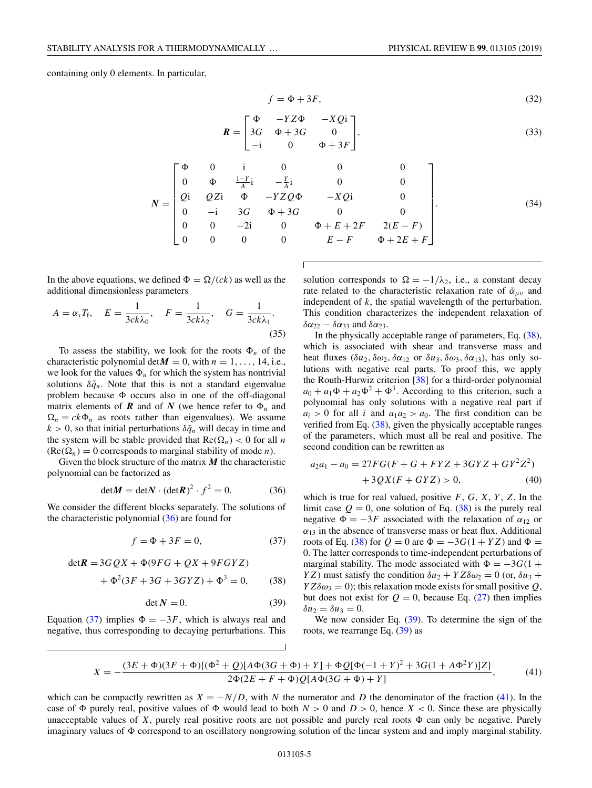<span id="page-5-0"></span>containing only 0 elements. In particular,

$$
f = \Phi + 3F,\tag{32}
$$

$$
\mathbf{R} = \begin{bmatrix} \Phi & -YZ\Phi & -XQ\mathbf{i} \\ 3G & \Phi + 3G & 0 \\ -\mathbf{i} & 0 & \Phi + 3F \end{bmatrix},\tag{33}
$$

$$
N = \begin{bmatrix} \Phi & 0 & i & 0 & 0 & 0 \\ 0 & \Phi & \frac{1-Y}{A}i & -\frac{Y}{A}i & 0 & 0 \\ Qi & QZi & \Phi & -YZQ\Phi & -XQi & 0 \\ 0 & -i & 3G & \Phi + 3G & 0 & 0 \\ 0 & 0 & -2i & 0 & \Phi + E + 2F & 2(E - F) \\ 0 & 0 & 0 & 0 & E - F & \Phi + 2E + F \end{bmatrix}.
$$
 (34)

In the above equations, we defined  $\Phi = \Omega/(ck)$  as well as the additional dimensionless parameters

$$
A = \alpha_s T_f, \quad E = \frac{1}{3ck\lambda_0}, \quad F = \frac{1}{3ck\lambda_2}, \quad G = \frac{1}{3ck\lambda_1}.
$$
\n(35)

To assess the stability, we look for the roots  $\Phi_n$  of the characteristic polynomial det $M = 0$ , with  $n = 1, \ldots, 14$ , i.e., we look for the values  $\Phi_n$  for which the system has nontrivial solutions  $\delta \tilde{q}_n$ . Note that this is not a standard eigenvalue problem because  $\Phi$  occurs also in one of the off-diagonal matrix elements of **R** and of N (we hence refer to  $\Phi_n$  and  $\Omega_n = c k \Phi_n$  as roots rather than eigenvalues). We assume  $k > 0$ , so that initial perturbations  $\delta \tilde{q}_n$  will decay in time and the system will be stable provided that  $Re(\Omega_n) < 0$  for all *n*  $(Re(\Omega_n) = 0$  corresponds to marginal stability of mode *n*).

Given the block structure of the matrix *M* the characteristic polynomial can be factorized as

$$
\det M = \det N \cdot (\det R)^2 \cdot f^2 = 0. \tag{36}
$$

We consider the different blocks separately. The solutions of the characteristic polynomial (36) are found for

$$
f = \Phi + 3F = 0,\tag{37}
$$

$$
\det \boldsymbol{R} = 3GQX + \Phi(9FG + QX + 9FGYZ)
$$

$$
+\Phi^2(3F + 3G + 3GYZ) + \Phi^3 = 0,\tag{38}
$$

$$
\det N = 0. \tag{39}
$$

Equation (37) implies  $\Phi = -3F$ , which is always real and negative, thus corresponding to decaying perturbations. This

solution corresponds to  $\Omega = -1/\lambda_2$ , i.e., a constant decay rate related to the characteristic relaxation rate of  $\alpha_{\mu\nu}$  and independent of *k*, the spatial wavelength of the perturbation. This condition characterizes the independent relaxation of *δα*<sup>22</sup> − *δα*<sup>33</sup> and *δα*23.

In the physically acceptable range of parameters, Eq. (38), which is associated with shear and transverse mass and heat fluxes ( $\delta u_2$ ,  $\delta \omega_2$ ,  $\delta \alpha_{12}$  or  $\delta u_3$ ,  $\delta \omega_3$ ,  $\delta \alpha_{13}$ ), has only solutions with negative real parts. To proof this, we apply the Routh-Hurwiz criterion [\[38\]](#page-9-0) for a third-order polynomial  $a_0 + a_1 \Phi + a_2 \Phi^2 + \Phi^3$ . According to this criterion, such a polynomial has only solutions with a negative real part if  $a_i > 0$  for all *i* and  $a_1 a_2 > a_0$ . The first condition can be verified from Eq. (38), given the physically acceptable ranges of the parameters, which must all be real and positive. The second condition can be rewritten as

$$
a_2a_1 - a_0 = 27FG(F + G + FYZ + 3GYZ + GY^2Z^2) + 3QX(F + GYZ) > 0,
$$
 (40)

which is true for real valued, positive  $F$ ,  $G$ ,  $X$ ,  $Y$ ,  $Z$ . In the limit case  $Q = 0$ , one solution of Eq. (38) is the purely real negative  $\Phi = -3F$  associated with the relaxation of  $\alpha_{12}$  or  $\alpha_{13}$  in the absence of transverse mass or heat flux. Additional roots of Eq. (38) for  $Q = 0$  are  $\Phi = -3G(1 + YZ)$  and  $\Phi =$ 0. The latter corresponds to time-independent perturbations of marginal stability. The mode associated with  $\Phi = -3G(1 +$ *YZ*) must satisfy the condition  $\delta u_2 + YZ\delta\omega_2 = 0$  (or,  $\delta u_3 + YZ\delta\omega_2 = 0$  $YZ\delta\omega_3 = 0$ ; this relaxation mode exists for small positive *Q*, but does not exist for  $Q = 0$ , because Eq. [\(27\)](#page-4-0) then implies  $\delta u_2 = \delta u_3 = 0.$ 

We now consider Eq. (39). To determine the sign of the roots, we rearrange Eq. (39) as

$$
X = -\frac{(3E + \Phi)(3F + \Phi)\{(\Phi^2 + Q)[A\Phi(3G + \Phi) + Y] + \Phi Q[\Phi(-1 + Y)^2 + 3G(1 + A\Phi^2 Y)]Z\}}{2\Phi(2E + F + \Phi)Q[A\Phi(3G + \Phi) + Y]},
$$
(41)

which can be compactly rewritten as  $X = -N/D$ , with *N* the numerator and *D* the denominator of the fraction (41). In the case of  $\Phi$  purely real, positive values of  $\Phi$  would lead to both  $N > 0$  and  $D > 0$ , hence  $X < 0$ . Since these are physically unacceptable values of  $X$ , purely real positive roots are not possible and purely real roots  $\Phi$  can only be negative. Purely imaginary values of  $\Phi$  correspond to an oscillatory nongrowing solution of the linear system and and imply marginal stability.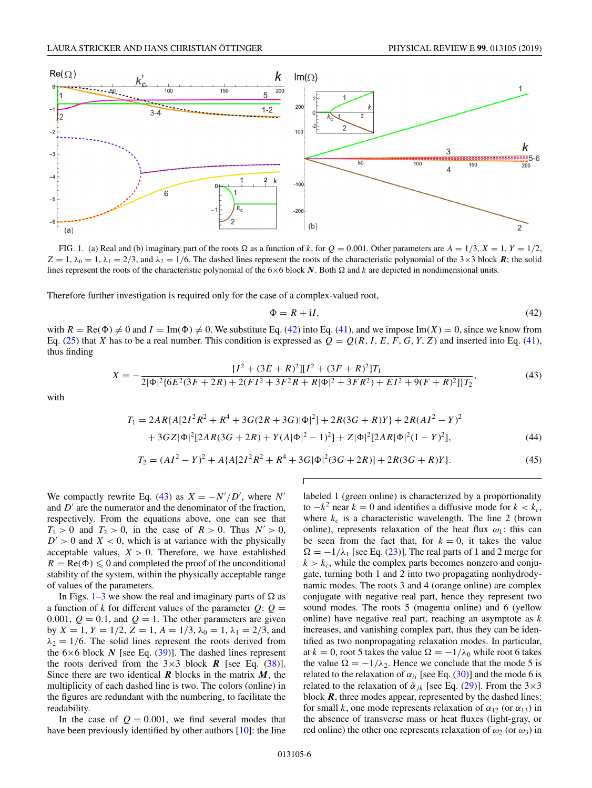<span id="page-6-0"></span>

FIG. 1. (a) Real and (b) imaginary part of the roots  $\Omega$  as a function of *k*, for  $Q = 0.001$ . Other parameters are  $A = 1/3$ ,  $X = 1$ ,  $Y = 1/2$ ,  $Z = 1$ ,  $\lambda_0 = 1$ ,  $\lambda_1 = 2/3$ , and  $\lambda_2 = 1/6$ . The dashed lines represent the roots of the characteristic polynomial of the 3×3 block *R*; the solid lines represent the roots of the characteristic polynomial of the  $6 \times 6$  block *N*. Both  $\Omega$  and *k* are depicted in nondimensional units.

Therefore further investigation is required only for the case of a complex-valued root,

$$
\Phi = R + iI,\tag{42}
$$

with  $R = \text{Re}(\Phi) \neq 0$  and  $I = \text{Im}(\Phi) \neq 0$ . We substitute Eq. (42) into Eq. [\(41\)](#page-5-0), and we impose Im(*X*) = 0, since we know from Eq. [\(25\)](#page-4-0) that *X* has to be a real number. This condition is expressed as  $Q = Q(R, I, E, F, G, Y, Z)$  and inserted into Eq. [\(41\)](#page-5-0), thus finding

$$
X = -\frac{[I^2 + (3E + R)^2][I^2 + (3F + R)^2]T_1}{2|\Phi|^2 \{6E^2(3F + 2R) + 2(FI^2 + 3F^2R + R|\Phi|^2 + 3FR^2) + EI^2 + 9(F + R)^2]\}T_2},\tag{43}
$$

with

$$
T_1 = 2AR\{A[2I^2R^2 + R^4 + 3G(2R + 3G)|\Phi|^2\} + 2R(3G + R)Y\} + 2R(AI^2 - Y)^2
$$
  
+ 3GZ|\Phi|^2[2AR(3G + 2R) + Y(A|\Phi|^2 - 1)^2] + Z|\Phi|^2[2AR|\Phi|^2(1 - Y)^2], (44)

$$
T_2 = (AI^2 - Y)^2 + A\{A[2I^2R^2 + R^4 + 3G|\Phi|^2(3G + 2R)] + 2R(3G + R)Y\}.
$$
\n(45)

We compactly rewrite Eq. (43) as  $X = -N'/D'$ , where *N'* and  $D'$  are the numerator and the denominator of the fraction, respectively. From the equations above, one can see that  $T_1 > 0$  and  $T_2 > 0$ , in the case of  $R > 0$ . Thus  $N' > 0$ ,  $D' > 0$  and  $X < 0$ , which is at variance with the physically acceptable values,  $X > 0$ . Therefore, we have established  $R = \text{Re}(\Phi) \leq 0$  and completed the proof of the unconditional stability of the system, within the physically acceptable range of values of the parameters.

In Figs. 1[–3](#page-7-0) we show the real and imaginary parts of  $\Omega$  as a function of *k* for different values of the parameter  $Q: Q =$ 0.001,  $Q = 0.1$ , and  $Q = 1$ . The other parameters are given by *X* = 1, *Y* = 1/2, *Z* = 1, *A* = 1/3,  $\lambda_0$  = 1,  $\lambda_1$  = 2/3, and  $\lambda_2 = 1/6$ . The solid lines represent the roots derived from the  $6\times6$  block *N* [see Eq. [\(39\)](#page-5-0)]. The dashed lines represent the roots derived from the  $3\times3$  block **R** [see Eq. [\(38\)](#page-5-0)]. Since there are two identical *R* blocks in the matrix *M*, the multiplicity of each dashed line is two. The colors (online) in the figures are redundant with the numbering, to facilitate the readability.

In the case of  $Q = 0.001$ , we find several modes that have been previously identified by other authors [\[10\]](#page-9-0): the line

labeled 1 (green online) is characterized by a proportionality to  $-k^2$  near  $k = 0$  and identifies a diffusive mode for  $k < k_c$ , where  $k_c$  is a characteristic wavelength. The line 2 (brown online), represents relaxation of the heat flux  $\omega_1$ : this can be seen from the fact that, for  $k = 0$ , it takes the value  $\Omega = -1/\lambda_1$  [see Eq. [\(23\)](#page-4-0)]. The real parts of 1 and 2 merge for  $k > k_c$ , while the complex parts becomes nonzero and conjugate, turning both 1 and 2 into two propagating nonhydrodynamic modes. The roots 3 and 4 (orange online) are complex conjugate with negative real part, hence they represent two sound modes. The roots 5 (magenta online) and 6 (yellow online) have negative real part, reaching an asymptote as *k* increases, and vanishing complex part, thus they can be identified as two nonpropagating relaxation modes. In particular, at  $k = 0$ , root 5 takes the value  $\Omega = -1/\lambda_0$  while root 6 takes the value  $\Omega = -1/\lambda_2$ . Hence we conclude that the mode 5 is related to the relaxation of  $\alpha_{ii}$  [see Eq. [\(30\)](#page-4-0)] and the mode 6 is related to the relaxation of  $\alpha_{ik}$  [see Eq. [\(29\)](#page-4-0)]. From the 3×3 block *R*, three modes appear, represented by the dashed lines: for small *k*, one mode represents relaxation of  $\alpha_{12}$  (or  $\alpha_{13}$ ) in the absence of transverse mass or heat fluxes (light-gray, or red online) the other one represents relaxation of  $\omega_2$  (or  $\omega_3$ ) in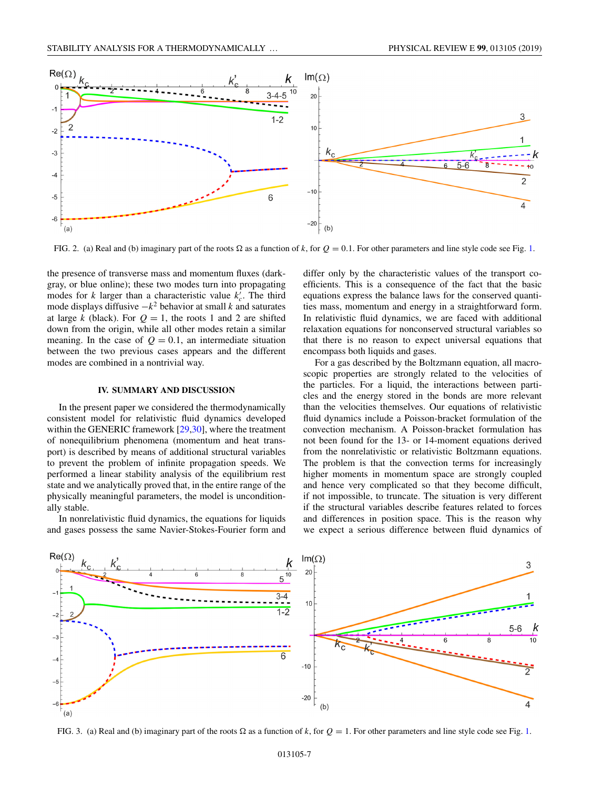<span id="page-7-0"></span>

FIG. 2. (a) Real and (b) imaginary part of the roots  $\Omega$  as a function of k, for  $Q = 0.1$ . For other parameters and line style code see Fig. [1.](#page-6-0)

the presence of transverse mass and momentum fluxes (darkgray, or blue online); these two modes turn into propagating modes for *k* larger than a characteristic value  $k_c$ . The third mode displays diffusive  $-k^2$  behavior at small *k* and saturates at large *k* (black). For  $Q = 1$ , the roots 1 and 2 are shifted down from the origin, while all other modes retain a similar meaning. In the case of  $Q = 0.1$ , an intermediate situation between the two previous cases appears and the different modes are combined in a nontrivial way.

## **IV. SUMMARY AND DISCUSSION**

In the present paper we considered the thermodynamically consistent model for relativistic fluid dynamics developed within the GENERIC framework  $[29,30]$ , where the treatment of nonequilibrium phenomena (momentum and heat transport) is described by means of additional structural variables to prevent the problem of infinite propagation speeds. We performed a linear stability analysis of the equilibrium rest state and we analytically proved that, in the entire range of the physically meaningful parameters, the model is unconditionally stable.

In nonrelativistic fluid dynamics, the equations for liquids and gases possess the same Navier-Stokes-Fourier form and

differ only by the characteristic values of the transport coefficients. This is a consequence of the fact that the basic equations express the balance laws for the conserved quantities mass, momentum and energy in a straightforward form. In relativistic fluid dynamics, we are faced with additional relaxation equations for nonconserved structural variables so that there is no reason to expect universal equations that encompass both liquids and gases.

For a gas described by the Boltzmann equation, all macroscopic properties are strongly related to the velocities of the particles. For a liquid, the interactions between particles and the energy stored in the bonds are more relevant than the velocities themselves. Our equations of relativistic fluid dynamics include a Poisson-bracket formulation of the convection mechanism. A Poisson-bracket formulation has not been found for the 13- or 14-moment equations derived from the nonrelativistic or relativistic Boltzmann equations. The problem is that the convection terms for increasingly higher moments in momentum space are strongly coupled and hence very complicated so that they become difficult, if not impossible, to truncate. The situation is very different if the structural variables describe features related to forces and differences in position space. This is the reason why we expect a serious difference between fluid dynamics of



FIG. 3. (a) Real and (b) imaginary part of the roots  $\Omega$  as a function of k, for  $Q = 1$ . For other parameters and line style code see Fig. [1.](#page-6-0)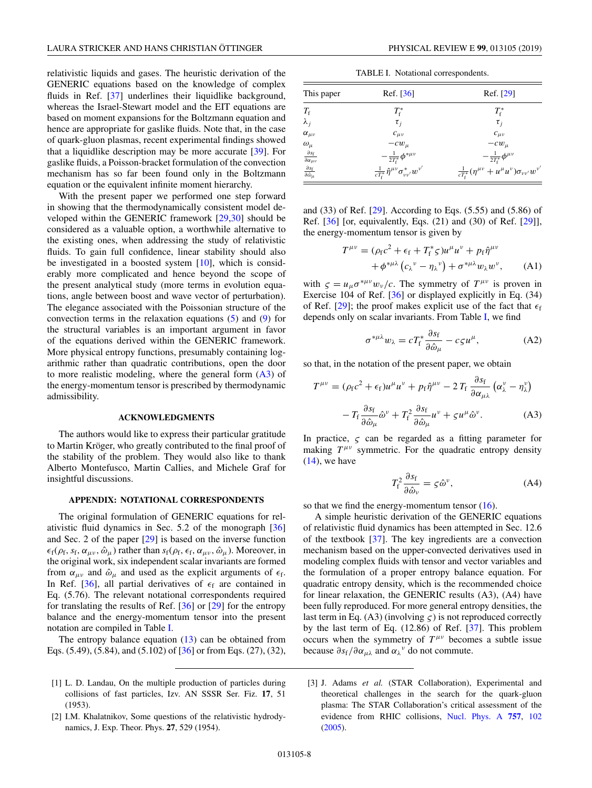<span id="page-8-0"></span>relativistic liquids and gases. The heuristic derivation of the GENERIC equations based on the knowledge of complex fluids in Ref. [\[37\]](#page-9-0) underlines their liquidlike background, whereas the Israel-Stewart model and the EIT equations are based on moment expansions for the Boltzmann equation and hence are appropriate for gaslike fluids. Note that, in the case of quark-gluon plasmas, recent experimental findings showed that a liquidlike description may be more accurate [\[39\]](#page-9-0). For gaslike fluids, a Poisson-bracket formulation of the convection mechanism has so far been found only in the Boltzmann equation or the equivalent infinite moment hierarchy.

With the present paper we performed one step forward in showing that the thermodynamically consistent model developed within the GENERIC framework [\[29,30\]](#page-9-0) should be considered as a valuable option, a worthwhile alternative to the existing ones, when addressing the study of relativistic fluids. To gain full confidence, linear stability should also be investigated in a boosted system  $[10]$ , which is considerably more complicated and hence beyond the scope of the present analytical study (more terms in evolution equations, angle between boost and wave vector of perturbation). The elegance associated with the Poissonian structure of the convection terms in the relaxation equations [\(5\)](#page-2-0) and [\(9\)](#page-2-0) for the structural variables is an important argument in favor of the equations derived within the GENERIC framework. More physical entropy functions, presumably containing logarithmic rather than quadratic contributions, open the door to more realistic modeling, where the general form  $(A3)$  of the energy-momentum tensor is prescribed by thermodynamic admissibility.

#### **ACKNOWLEDGMENTS**

The authors would like to express their particular gratitude to Martin Kröger, who greatly contributed to the final proof of the stability of the problem. They would also like to thank Alberto Montefusco, Martin Callies, and Michele Graf for insightful discussions.

## **APPENDIX: NOTATIONAL CORRESPONDENTS**

The original formulation of GENERIC equations for relativistic fluid dynamics in Sec. 5.2 of the monograph [\[36\]](#page-9-0) and Sec. 2 of the paper [\[29\]](#page-9-0) is based on the inverse function  $\epsilon_f(\rho_f, s_f, \alpha_{\mu\nu}, \hat{\omega}_\mu)$  rather than  $s_f(\rho_f, \epsilon_f, \alpha_{\mu\nu}, \hat{\omega}_\mu)$ . Moreover, in the original work, six independent scalar invariants are formed from  $\alpha_{\mu\nu}$  and  $\hat{\omega}_{\mu}$  and used as the explicit arguments of  $\epsilon_{\text{f}}$ . In Ref. [\[36\]](#page-9-0), all partial derivatives of  $\epsilon_f$  are contained in Eq. (5.76). The relevant notational correspondents required for translating the results of Ref. [\[36\]](#page-9-0) or [\[29\]](#page-9-0) for the entropy balance and the energy-momentum tensor into the present notation are compiled in Table I.

The entropy balance equation [\(13\)](#page-3-0) can be obtained from Eqs. (5.49), (5.84), and (5.102) of [\[36\]](#page-9-0) or from Eqs. (27), (32),

- [1] L. D. Landau, On the multiple production of particles during collisions of fast particles, Izv. AN SSSR Ser. Fiz. **17**, 51 (1953).
- [2] I.M. Khalatnikov, Some questions of the relativistic hydrodynamics, J. Exp. Theor. Phys. **27**, 529 (1954).

TABLE I. Notational correspondents.

| This paper                                             | Ref. $[36]$                                                              | Ref. [29]                                                                                  |
|--------------------------------------------------------|--------------------------------------------------------------------------|--------------------------------------------------------------------------------------------|
| $T_{\rm f}$                                            | $T_{\rm f}^*$                                                            | $T_{\rm f}^*$                                                                              |
| $\lambda_i$                                            | $\tau_i$                                                                 | $\tau_i$                                                                                   |
| $\alpha_{\mu\nu}$                                      | $c_{\mu\nu}$                                                             | $c_{\mu\nu}$                                                                               |
| $\omega_{\mu}$                                         | $-cw_{\mu}$                                                              | $-cw_{\mu}$                                                                                |
| $\frac{\partial s_{\rm f}}{\partial \alpha_{\mu\nu}}$  | $-\frac{1}{2T_{\rm f}^*}\phi^{*\mu\nu}$                                  | $-\frac{1}{2T_{\epsilon}^*}\phi^{\mu\nu}$                                                  |
| $\frac{\partial s_{\rm f}}{\partial \hat{\omega}_\mu}$ | $\frac{1}{cT_{\epsilon}^*}\hat{\eta}^{\mu\nu}\sigma_{\nu\nu'}^*w^{\nu'}$ | $\frac{1}{c T_{\epsilon}^{*}} (\eta^{\mu\nu} + u^{\mu} u^{\nu}) \sigma_{\nu\nu'} w^{\nu'}$ |

and (33) of Ref. [\[29\]](#page-9-0). According to Eqs. (5.55) and (5.86) of Ref. [\[36\]](#page-9-0) [or, equivalently, Eqs. (21) and (30) of Ref. [\[29\]](#page-9-0)], the energy-momentum tensor is given by

$$
T^{\mu\nu} = (\rho_f c^2 + \epsilon_f + T_f^* \zeta) u^{\mu} u^{\nu} + p_f \hat{\eta}^{\mu\nu}
$$
  
+  $\phi^{*\mu\lambda} (c_{\lambda}^{\nu} - \eta_{\lambda}^{\nu}) + \sigma^{*\mu\lambda} w_{\lambda} w^{\nu},$  (A1)

with  $\zeta = u_{\mu} \sigma^{*\mu\nu} w_{\nu}/c$ . The symmetry of  $T^{\mu\nu}$  is proven in Exercise 104 of Ref. [\[36\]](#page-9-0) or displayed explicitly in Eq. (34) of Ref. [\[29\]](#page-9-0); the proof makes explicit use of the fact that  $\epsilon_1$ depends only on scalar invariants. From Table I, we find

$$
\sigma^{*\mu\lambda}w_{\lambda} = cT_{\rm f}^* \frac{\partial s_{\rm f}}{\partial \hat{\omega}_{\mu}} - c_{\varsigma}u^{\mu},\tag{A2}
$$

so that, in the notation of the present paper, we obtain

$$
T^{\mu\nu} = (\rho_f c^2 + \epsilon_f) u^{\mu} u^{\nu} + p_f \hat{\eta}^{\mu\nu} - 2 T_f \frac{\partial s_f}{\partial \alpha_{\mu\lambda}} (\alpha_{\lambda}^{\nu} - \eta_{\lambda}^{\nu})
$$

$$
- T_f \frac{\partial s_f}{\partial \hat{\omega}_{\mu}} \hat{\omega}^{\nu} + T_f^2 \frac{\partial s_f}{\partial \hat{\omega}_{\mu}} u^{\nu} + \varsigma u^{\mu} \hat{\omega}^{\nu}.
$$
 (A3)

In practice,  $\zeta$  can be regarded as a fitting parameter for making  $T^{\mu\nu}$  symmetric. For the quadratic entropy density  $(14)$ , we have

$$
T_{\rm f}^2 \frac{\partial s_{\rm f}}{\partial \hat{\omega}_{\nu}} = \varsigma \hat{\omega}^{\nu},\tag{A4}
$$

so that we find the energy-momentum tensor  $(16)$ .

A simple heuristic derivation of the GENERIC equations of relativistic fluid dynamics has been attempted in Sec. 12.6 of the textbook [\[37\]](#page-9-0). The key ingredients are a convection mechanism based on the upper-convected derivatives used in modeling complex fluids with tensor and vector variables and the formulation of a proper entropy balance equation. For quadratic entropy density, which is the recommended choice for linear relaxation, the GENERIC results (A3), (A4) have been fully reproduced. For more general entropy densities, the last term in Eq. (A3) (involving  $\varsigma$ ) is not reproduced correctly by the last term of Eq. (12.86) of Ref. [\[37\]](#page-9-0). This problem occurs when the symmetry of  $T^{\mu\nu}$  becomes a subtle issue *because*  $\partial s_f / \partial \alpha_{\mu\lambda}$  and  $\alpha_{\lambda}^{\nu}$  do not commute.

<sup>[3]</sup> J. Adams *et al.* (STAR Collaboration), Experimental and theoretical challenges in the search for the quark-gluon plasma: The STAR Collaboration's critical assessment of the evidence from RHIC collisions, [Nucl. Phys. A](https://doi.org/10.1016/j.nuclphysa.2005.03.085) **[757](https://doi.org/10.1016/j.nuclphysa.2005.03.085)**, [102](https://doi.org/10.1016/j.nuclphysa.2005.03.085) [\(2005\)](https://doi.org/10.1016/j.nuclphysa.2005.03.085).